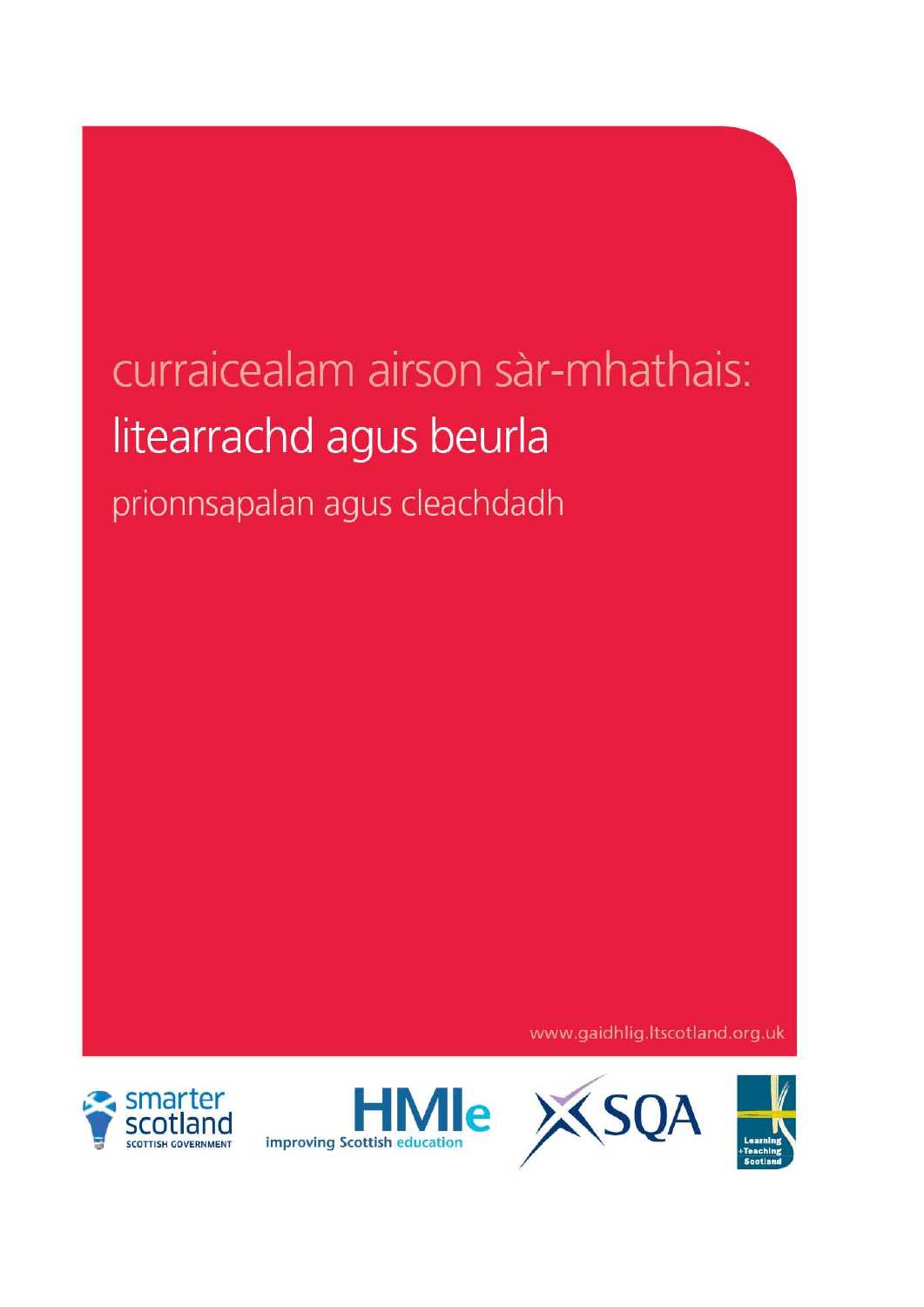# curraicealam airson sàr-mhathais: litearrachd agus beurla

prionnsapalan agus cleachdadh

www.gaidhlig.ltscotland.org.uk





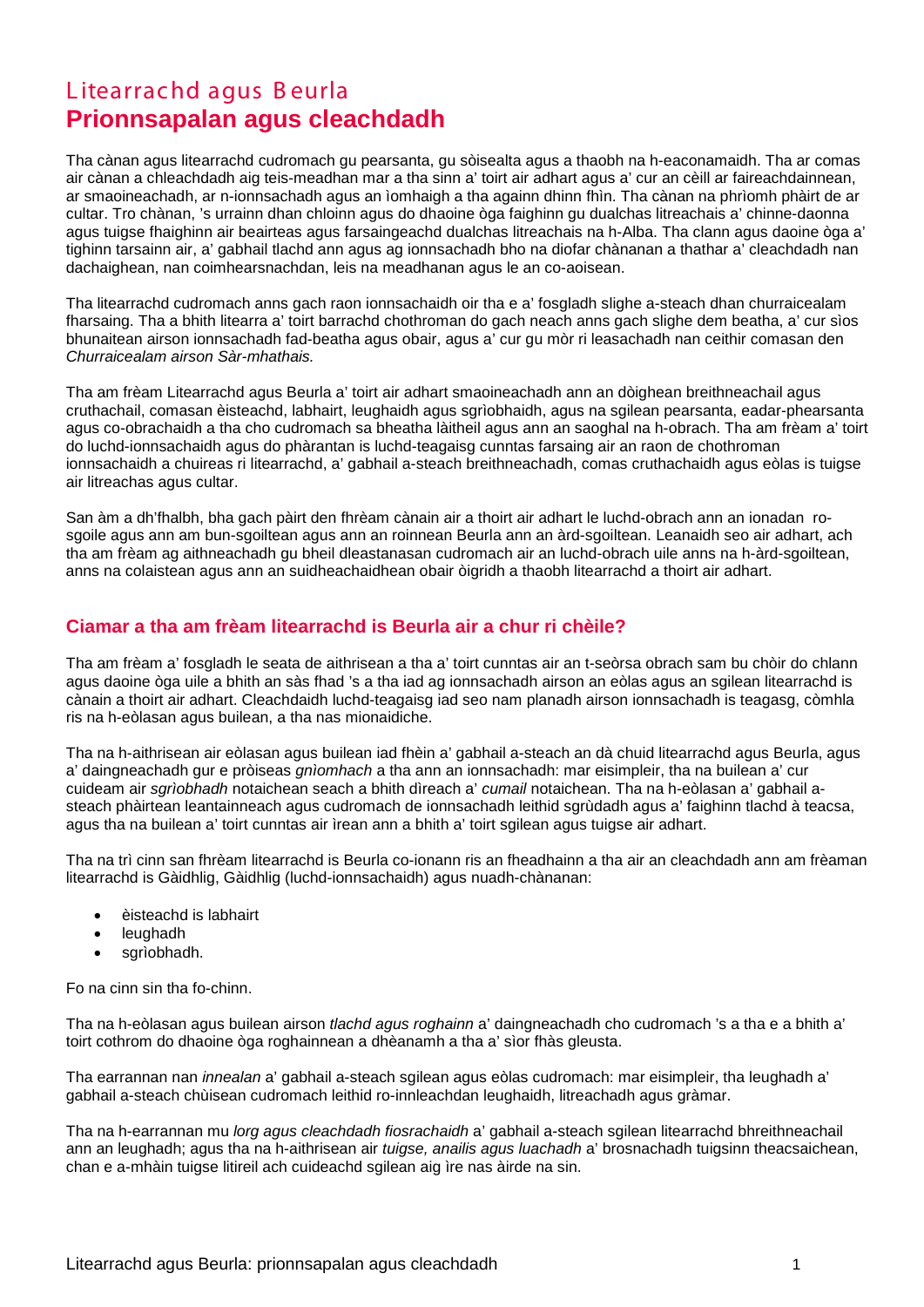# L itearrachd agus B eurla **Prionnsapalan agus cleachdadh**

Tha cànan agus litearrachd cudromach gu pearsanta, gu sòisealta agus a thaobh na h-eaconamaidh. Tha ar comas air cànan a chleachdadh aig teis-meadhan mar a tha sinn a' toirt air adhart agus a' cur an cèill ar faireachdainnean, ar smaoineachadh, ar n-ionnsachadh agus an ìomhaigh a tha againn dhinn fhìn. Tha cànan na phrìomh phàirt de ar cultar. Tro chànan, 's urrainn dhan chloinn agus do dhaoine òga faighinn gu dualchas litreachais a' chinne-daonna agus tuigse fhaighinn air beairteas agus farsaingeachd dualchas litreachais na h-Alba. Tha clann agus daoine òga a' tighinn tarsainn air, a' gabhail tlachd ann agus ag ionnsachadh bho na diofar chànanan a thathar a' cleachdadh nan dachaighean, nan coimhearsnachdan, leis na meadhanan agus le an co-aoisean.

Tha litearrachd cudromach anns gach raon ionnsachaidh oir tha e a' fosgladh slighe a-steach dhan churraicealam fharsaing. Tha a bhith litearra a' toirt barrachd chothroman do gach neach anns gach slighe dem beatha, a' cur sìos bhunaitean airson ionnsachadh fad-beatha agus obair, agus a' cur gu mòr ri leasachadh nan ceithir comasan den *Churraicealam airson Sàr-mhathais.*

Tha am frèam Litearrachd agus Beurla a' toirt air adhart smaoineachadh ann an dòighean breithneachail agus cruthachail, comasan èisteachd, labhairt, leughaidh agus sgrìobhaidh, agus na sgilean pearsanta, eadar-phearsanta agus co-obrachaidh a tha cho cudromach sa bheatha làitheil agus ann an saoghal na h-obrach. Tha am frèam a' toirt do luchd-ionnsachaidh agus do phàrantan is luchd-teagaisg cunntas farsaing air an raon de chothroman ionnsachaidh a chuireas ri litearrachd, a' gabhail a-steach breithneachadh, comas cruthachaidh agus eòlas is tuigse air litreachas agus cultar.

San àm a dh'fhalbh, bha gach pàirt den fhrèam cànain air a thoirt air adhart le luchd-obrach ann an ionadan rosgoile agus ann am bun-sgoiltean agus ann an roinnean Beurla ann an àrd-sgoiltean. Leanaidh seo air adhart, ach tha am frèam ag aithneachadh gu bheil dleastanasan cudromach air an luchd-obrach uile anns na h-àrd-sgoiltean, anns na colaistean agus ann an suidheachaidhean obair òigridh a thaobh litearrachd a thoirt air adhart.

# **Ciamar a tha am frèam litearrachd is Beurla air a chur ri chèile?**

Tha am frèam a' fosgladh le seata de aithrisean a tha a' toirt cunntas air an t-seòrsa obrach sam bu chòir do chlann agus daoine òga uile a bhith an sàs fhad 's a tha iad ag ionnsachadh airson an eòlas agus an sgilean litearrachd is cànain a thoirt air adhart. Cleachdaidh luchd-teagaisg iad seo nam planadh airson ionnsachadh is teagasg, còmhla ris na h-eòlasan agus builean, a tha nas mionaidiche.

Tha na h-aithrisean air eòlasan agus builean iad fhèin a' gabhail a-steach an dà chuid litearrachd agus Beurla, agus a' daingneachadh gur e pròiseas *gnìomhach* a tha ann an ionnsachadh: mar eisimpleir, tha na builean a' cur cuideam air *sgrìobhadh* notaichean seach a bhith dìreach a' *cumail* notaichean. Tha na h-eòlasan a' gabhail asteach phàirtean leantainneach agus cudromach de ionnsachadh leithid sgrùdadh agus a' faighinn tlachd à teacsa, agus tha na builean a' toirt cunntas air ìrean ann a bhith a' toirt sgilean agus tuigse air adhart.

Tha na trì cinn san fhrèam litearrachd is Beurla co-ionann ris an fheadhainn a tha air an cleachdadh ann am frèaman litearrachd is Gàidhlig, Gàidhlig (luchd-ionnsachaidh) agus nuadh-chànanan:

- èisteachd is labhairt
- leughadh
- sgrìobhadh.

Fo na cinn sin tha fo-chinn.

Tha na h-eòlasan agus builean airson *tlachd agus roghainn* a' daingneachadh cho cudromach 's a tha e a bhith a' toirt cothrom do dhaoine òga roghainnean a dhèanamh a tha a' sìor fhàs gleusta.

Tha earrannan nan *innealan* a' gabhail a-steach sgilean agus eòlas cudromach: mar eisimpleir, tha leughadh a' gabhail a-steach chùisean cudromach leithid ro-innleachdan leughaidh, litreachadh agus gràmar.

Tha na h-earrannan mu *lorg agus cleachdadh fiosrachaidh* a' gabhail a-steach sgilean litearrachd bhreithneachail ann an leughadh; agus tha na h-aithrisean air *tuigse, anailis agus luachadh* a' brosnachadh tuigsinn theacsaichean, chan e a-mhàin tuigse litireil ach cuideachd sgilean aig ìre nas àirde na sin.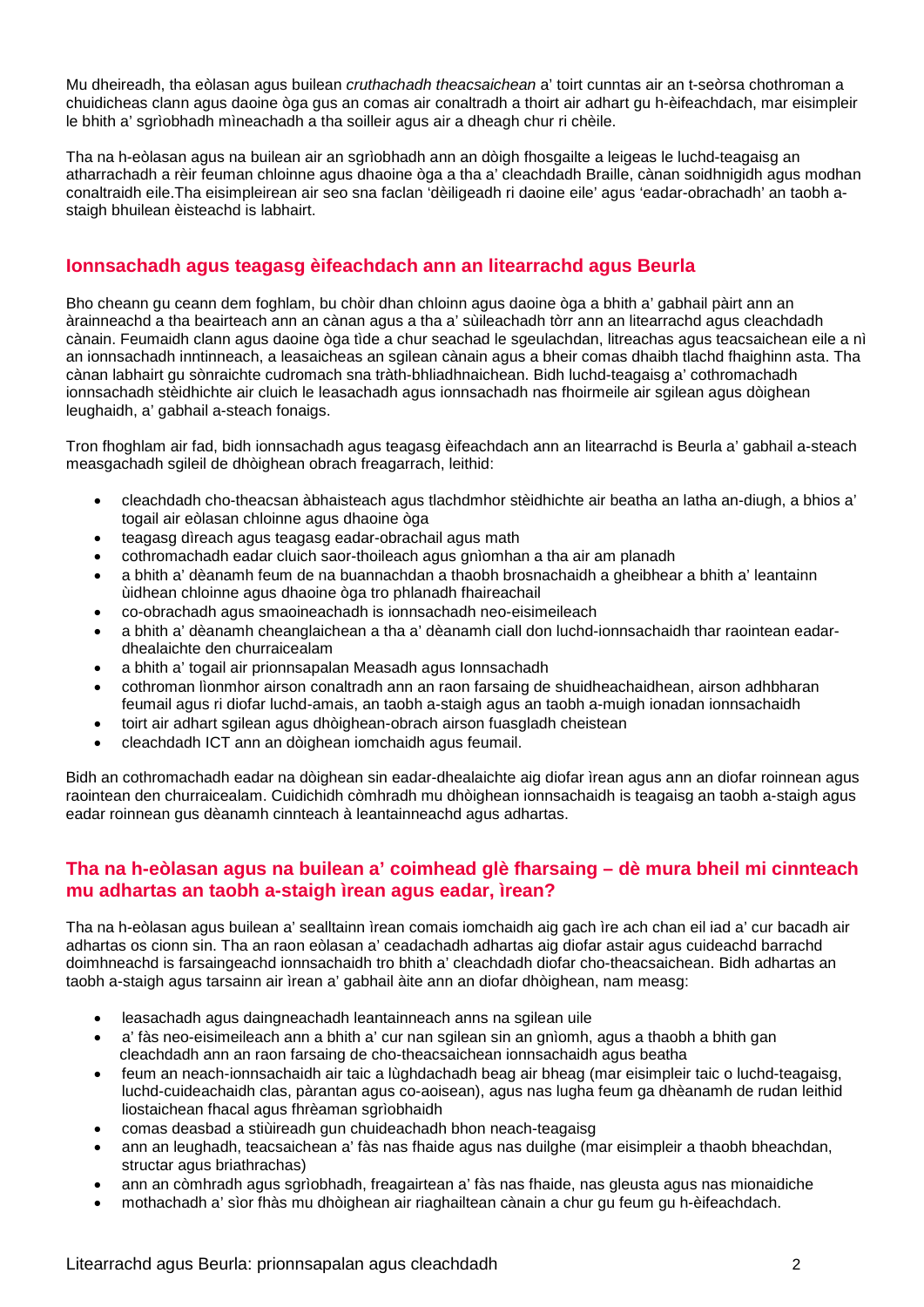Mu dheireadh, tha eòlasan agus builean *cruthachadh theacsaichean* a' toirt cunntas air an t-seòrsa chothroman a chuidicheas clann agus daoine òga gus an comas air conaltradh a thoirt air adhart gu h-èifeachdach, mar eisimpleir le bhith a' sgrìobhadh mìneachadh a tha soilleir agus air a dheagh chur ri chèile.

Tha na h-eòlasan agus na builean air an sgrìobhadh ann an dòigh fhosgailte a leigeas le luchd-teagaisg an atharrachadh a rèir feuman chloinne agus dhaoine òga a tha a' cleachdadh Braille, cànan soidhnigidh agus modhan conaltraidh eile.Tha eisimpleirean air seo sna faclan 'dèiligeadh ri daoine eile' agus 'eadar-obrachadh' an taobh astaigh bhuilean èisteachd is labhairt.

# **Ionnsachadh agus teagasg èifeachdach ann an litearrachd agus Beurla**

Bho cheann gu ceann dem foghlam, bu chòir dhan chloinn agus daoine òga a bhith a' gabhail pàirt ann an àrainneachd a tha beairteach ann an cànan agus a tha a' sùileachadh tòrr ann an litearrachd agus cleachdadh cànain. Feumaidh clann agus daoine òga tìde a chur seachad le sgeulachdan, litreachas agus teacsaichean eile a nì an ionnsachadh inntinneach, a leasaicheas an sgilean cànain agus a bheir comas dhaibh tlachd fhaighinn asta. Tha cànan labhairt gu sònraichte cudromach sna tràth-bhliadhnaichean. Bidh luchd-teagaisg a' cothromachadh ionnsachadh stèidhichte air cluich le leasachadh agus ionnsachadh nas fhoirmeile air sgilean agus dòighean leughaidh, a' gabhail a-steach fonaigs.

Tron fhoghlam air fad, bidh ionnsachadh agus teagasg èifeachdach ann an litearrachd is Beurla a' gabhail a-steach measgachadh sgileil de dhòighean obrach freagarrach, leithid:

- cleachdadh cho-theacsan àbhaisteach agus tlachdmhor stèidhichte air beatha an latha an-diugh, a bhios a' togail air eòlasan chloinne agus dhaoine òga
- teagasg dìreach agus teagasg eadar-obrachail agus math
- cothromachadh eadar cluich saor-thoileach agus gnìomhan a tha air am planadh
- a bhith a' dèanamh feum de na buannachdan a thaobh brosnachaidh a gheibhear a bhith a' leantainn ùidhean chloinne agus dhaoine òga tro phlanadh fhaireachail
- co-obrachadh agus smaoineachadh is ionnsachadh neo-eisimeileach
- a bhith a' dèanamh cheanglaichean a tha a' dèanamh ciall don luchd-ionnsachaidh thar raointean eadardhealaichte den churraicealam
- a bhith a' togail air prionnsapalan Measadh agus Ionnsachadh
- cothroman lìonmhor airson conaltradh ann an raon farsaing de shuidheachaidhean, airson adhbharan feumail agus ri diofar luchd-amais, an taobh a-staigh agus an taobh a-muigh ionadan ionnsachaidh
- toirt air adhart sgilean agus dhòighean-obrach airson fuasgladh cheistean
- cleachdadh ICT ann an dòighean iomchaidh agus feumail.

Bidh an cothromachadh eadar na dòighean sin eadar-dhealaichte aig diofar ìrean agus ann an diofar roinnean agus raointean den churraicealam. Cuidichidh còmhradh mu dhòighean ionnsachaidh is teagaisg an taobh a-staigh agus eadar roinnean gus dèanamh cinnteach à leantainneachd agus adhartas.

#### **Tha na h-eòlasan agus na builean a' coimhead glè fharsaing – dè mura bheil mi cinnteach mu adhartas an taobh a-staigh ìrean agus eadar, ìrean?**

Tha na h-eòlasan agus builean a' sealltainn ìrean comais iomchaidh aig gach ìre ach chan eil iad a' cur bacadh air adhartas os cionn sin. Tha an raon eòlasan a' ceadachadh adhartas aig diofar astair agus cuideachd barrachd doimhneachd is farsaingeachd ionnsachaidh tro bhith a' cleachdadh diofar cho-theacsaichean. Bidh adhartas an taobh a-staigh agus tarsainn air ìrean a' gabhail àite ann an diofar dhòighean, nam measg:

- leasachadh agus daingneachadh leantainneach anns na sgilean uile
- a' fàs neo-eisimeileach ann a bhith a' cur nan sgilean sin an gnìomh, agus a thaobh a bhith gan cleachdadh ann an raon farsaing de cho-theacsaichean ionnsachaidh agus beatha
- feum an neach-ionnsachaidh air taic a lùghdachadh beag air bheag (mar eisimpleir taic o luchd-teagaisg, luchd-cuideachaidh clas, pàrantan agus co-aoisean), agus nas lugha feum ga dhèanamh de rudan leithid liostaichean fhacal agus fhrèaman sgrìobhaidh
- comas deasbad a stiùireadh gun chuideachadh bhon neach-teagaisg
- ann an leughadh, teacsaichean a' fàs nas fhaide agus nas duilghe (mar eisimpleir a thaobh bheachdan, structar agus briathrachas)
- ann an còmhradh agus sgrìobhadh, freagairtean a' fàs nas fhaide, nas gleusta agus nas mionaidiche
- mothachadh a' sìor fhàs mu dhòighean air riaghailtean cànain a chur gu feum gu h-èifeachdach.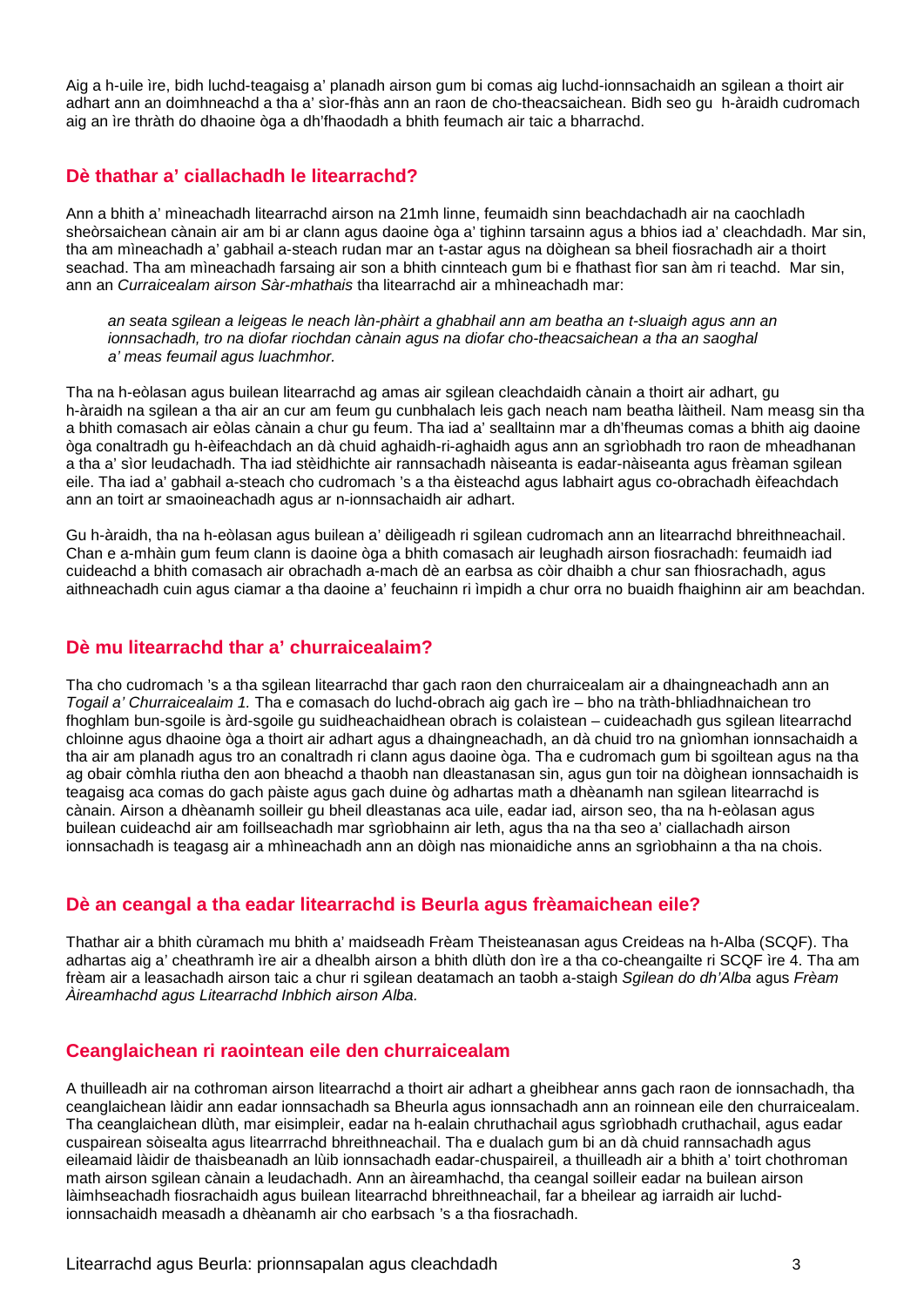Aig a h-uile ìre, bidh luchd-teagaisg a' planadh airson gum bi comas aig luchd-ionnsachaidh an sgilean a thoirt air adhart ann an doimhneachd a tha a' sìor-fhàs ann an raon de cho-theacsaichean. Bidh seo gu h-àraidh cudromach aig an ìre thràth do dhaoine òga a dh'fhaodadh a bhith feumach air taic a bharrachd.

# **Dè thathar a' ciallachadh le litearrachd?**

Ann a bhith a' mìneachadh litearrachd airson na 21mh linne, feumaidh sinn beachdachadh air na caochladh sheòrsaichean cànain air am bi ar clann agus daoine òga a' tighinn tarsainn agus a bhios iad a' cleachdadh. Mar sin, tha am mìneachadh a' gabhail a-steach rudan mar an t-astar agus na dòighean sa bheil fiosrachadh air a thoirt seachad. Tha am mìneachadh farsaing air son a bhith cinnteach gum bi e fhathast fìor san àm ri teachd. Mar sin, ann an *Curraicealam airson Sàr-mhathais* tha litearrachd air a mhìneachadh mar:

*an seata sgilean a leigeas le neach làn-phàirt a ghabhail ann am beatha an t-sluaigh agus ann an ionnsachadh, tro na diofar riochdan cànain agus na diofar cho-theacsaichean a tha an saoghal a' meas feumail agus luachmhor.*

Tha na h-eòlasan agus builean litearrachd ag amas air sgilean cleachdaidh cànain a thoirt air adhart, gu h-àraidh na sgilean a tha air an cur am feum gu cunbhalach leis gach neach nam beatha làitheil. Nam measg sin tha a bhith comasach air eòlas cànain a chur gu feum. Tha iad a' sealltainn mar a dh'fheumas comas a bhith aig daoine òga conaltradh gu h-èifeachdach an dà chuid aghaidh-ri-aghaidh agus ann an sgrìobhadh tro raon de mheadhanan a tha a' sìor leudachadh. Tha iad stèidhichte air rannsachadh nàiseanta is eadar-nàiseanta agus frèaman sgilean eile. Tha iad a' gabhail a-steach cho cudromach 's a tha èisteachd agus labhairt agus co-obrachadh èifeachdach ann an toirt ar smaoineachadh agus ar n-ionnsachaidh air adhart.

Gu h-àraidh, tha na h-eòlasan agus builean a' dèiligeadh ri sgilean cudromach ann an litearrachd bhreithneachail. Chan e a-mhàin gum feum clann is daoine òga a bhith comasach air leughadh airson fiosrachadh: feumaidh iad cuideachd a bhith comasach air obrachadh a-mach dè an earbsa as còir dhaibh a chur san fhiosrachadh, agus aithneachadh cuin agus ciamar a tha daoine a' feuchainn ri ìmpidh a chur orra no buaidh fhaighinn air am beachdan.

# **Dè mu litearrachd thar a' churraicealaim?**

Tha cho cudromach 's a tha sgilean litearrachd thar gach raon den churraicealam air a dhaingneachadh ann an *Togail a' Churraicealaim 1.* Tha e comasach do luchd-obrach aig gach ìre – bho na tràth-bhliadhnaichean tro fhoghlam bun-sgoile is àrd-sgoile gu suidheachaidhean obrach is colaistean – cuideachadh gus sgilean litearrachd chloinne agus dhaoine òga a thoirt air adhart agus a dhaingneachadh, an dà chuid tro na gnìomhan ionnsachaidh a tha air am planadh agus tro an conaltradh ri clann agus daoine òga. Tha e cudromach gum bi sgoiltean agus na tha ag obair còmhla riutha den aon bheachd a thaobh nan dleastanasan sin, agus gun toir na dòighean ionnsachaidh is teagaisg aca comas do gach pàiste agus gach duine òg adhartas math a dhèanamh nan sgilean litearrachd is cànain. Airson a dhèanamh soilleir gu bheil dleastanas aca uile, eadar iad, airson seo, tha na h-eòlasan agus builean cuideachd air am foillseachadh mar sgrìobhainn air leth, agus tha na tha seo a' ciallachadh airson ionnsachadh is teagasg air a mhìneachadh ann an dòigh nas mionaidiche anns an sgrìobhainn a tha na chois.

# **Dè an ceangal a tha eadar litearrachd is Beurla agus frèamaichean eile?**

Thathar air a bhith cùramach mu bhith a' maidseadh Frèam Theisteanasan agus Creideas na h-Alba (SCQF). Tha adhartas aig a' cheathramh ìre air a dhealbh airson a bhith dlùth don ìre a tha co-cheangailte ri SCQF ìre 4. Tha am frèam air a leasachadh airson taic a chur ri sgilean deatamach an taobh a-staigh *Sgilean do dh'Alba* agus *Frèam Àireamhachd agus Litearrachd Inbhich airson Alba.*

# **Ceanglaichean ri raointean eile den churraicealam**

A thuilleadh air na cothroman airson litearrachd a thoirt air adhart a gheibhear anns gach raon de ionnsachadh, tha ceanglaichean làidir ann eadar ionnsachadh sa Bheurla agus ionnsachadh ann an roinnean eile den churraicealam. Tha ceanglaichean dlùth, mar eisimpleir, eadar na h-ealain chruthachail agus sgrìobhadh cruthachail, agus eadar cuspairean sòisealta agus litearrrachd bhreithneachail. Tha e dualach gum bi an dà chuid rannsachadh agus eileamaid làidir de thaisbeanadh an lùib ionnsachadh eadar-chuspaireil, a thuilleadh air a bhith a' toirt chothroman math airson sgilean cànain a leudachadh. Ann an àireamhachd, tha ceangal soilleir eadar na builean airson làimhseachadh fiosrachaidh agus builean litearrachd bhreithneachail, far a bheilear ag iarraidh air luchdionnsachaidh measadh a dhèanamh air cho earbsach 's a tha fiosrachadh.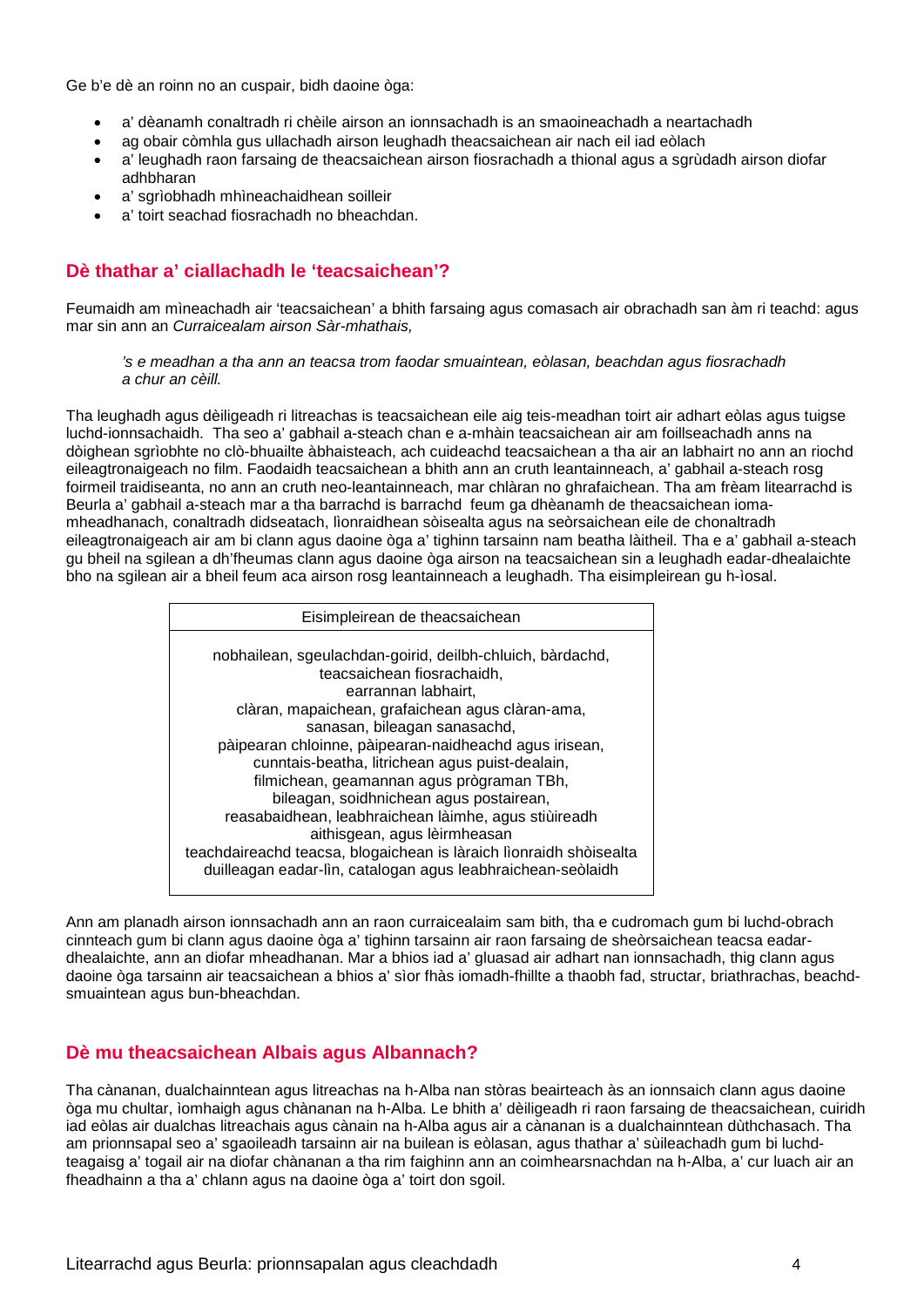Ge b'e dè an roinn no an cuspair, bidh daoine òga:

- a' dèanamh conaltradh ri chèile airson an ionnsachadh is an smaoineachadh a neartachadh
- ag obair còmhla gus ullachadh airson leughadh theacsaichean air nach eil iad eòlach
- a' leughadh raon farsaing de theacsaichean airson fiosrachadh a thional agus a sgrùdadh airson diofar adhbharan
- a' sgrìobhadh mhìneachaidhean soilleir
- a' toirt seachad fiosrachadh no bheachdan.

# **Dè thathar a' ciallachadh le 'teacsaichean'?**

Feumaidh am mìneachadh air 'teacsaichean' a bhith farsaing agus comasach air obrachadh san àm ri teachd: agus mar sin ann an *Curraicealam airson Sàr-mhathais,* 

*'s e meadhan a tha ann an teacsa trom faodar smuaintean, eòlasan, beachdan agus fiosrachadh a chur an cèill.*

Tha leughadh agus dèiligeadh ri litreachas is teacsaichean eile aig teis-meadhan toirt air adhart eòlas agus tuigse luchd-ionnsachaidh. Tha seo a' gabhail a-steach chan e a-mhàin teacsaichean air am foillseachadh anns na dòighean sgrìobhte no clò-bhuailte àbhaisteach, ach cuideachd teacsaichean a tha air an labhairt no ann an riochd eileagtronaigeach no film. Faodaidh teacsaichean a bhith ann an cruth leantainneach, a' gabhail a-steach rosg foirmeil traidiseanta, no ann an cruth neo-leantainneach, mar chlàran no ghrafaichean. Tha am frèam litearrachd is Beurla a' gabhail a-steach mar a tha barrachd is barrachd feum ga dhèanamh de theacsaichean iomamheadhanach, conaltradh didseatach, lìonraidhean sòisealta agus na seòrsaichean eile de chonaltradh eileagtronaigeach air am bi clann agus daoine òga a' tighinn tarsainn nam beatha làitheil. Tha e a' gabhail a-steach gu bheil na sgilean a dh'fheumas clann agus daoine òga airson na teacsaichean sin a leughadh eadar-dhealaichte bho na sgilean air a bheil feum aca airson rosg leantainneach a leughadh. Tha eisimpleirean gu h-ìosal.

| Eisimpleirean de theacsaichean                                                          |
|-----------------------------------------------------------------------------------------|
|                                                                                         |
| nobhailean, sgeulachdan-goirid, deilbh-chluich, bàrdachd,<br>teacsaichean fiosrachaidh, |
| earrannan labhairt,                                                                     |
| clàran, mapaichean, grafaichean agus clàran-ama,                                        |
| sanasan, bileagan sanasachd,                                                            |
| pàipearan chloinne, pàipearan-naidheachd agus irisean,                                  |
| cunntais-beatha, litrichean agus puist-dealain,                                         |
| filmichean, geamannan agus prògraman TBh,                                               |
| bileagan, soidhnichean agus postairean,                                                 |
| reasabaidhean, leabhraichean làimhe, agus stiùireadh                                    |
| aithisgean, agus lèirmheasan                                                            |
| teachdaireachd teacsa, blogaichean is làraich lìonraidh shòisealta                      |
| duilleagan eadar-lìn, catalogan agus leabhraichean-seòlaidh                             |

Ann am planadh airson ionnsachadh ann an raon curraicealaim sam bith, tha e cudromach gum bi luchd-obrach cinnteach gum bi clann agus daoine òga a' tighinn tarsainn air raon farsaing de sheòrsaichean teacsa eadardhealaichte, ann an diofar mheadhanan. Mar a bhios iad a' gluasad air adhart nan ionnsachadh, thig clann agus daoine òga tarsainn air teacsaichean a bhios a' sìor fhàs iomadh-fhillte a thaobh fad, structar, briathrachas, beachdsmuaintean agus bun-bheachdan.

# **Dè mu theacsaichean Albais agus Albannach?**

Tha cànanan, dualchainntean agus litreachas na h-Alba nan stòras beairteach às an ionnsaich clann agus daoine òga mu chultar, ìomhaigh agus chànanan na h-Alba. Le bhith a' dèiligeadh ri raon farsaing de theacsaichean, cuiridh iad eòlas air dualchas litreachais agus cànain na h-Alba agus air a cànanan is a dualchainntean dùthchasach. Tha am prionnsapal seo a' sgaoileadh tarsainn air na builean is eòlasan, agus thathar a' sùileachadh gum bi luchdteagaisg a' togail air na diofar chànanan a tha rim faighinn ann an coimhearsnachdan na h-Alba, a' cur luach air an fheadhainn a tha a' chlann agus na daoine òga a' toirt don sgoil.